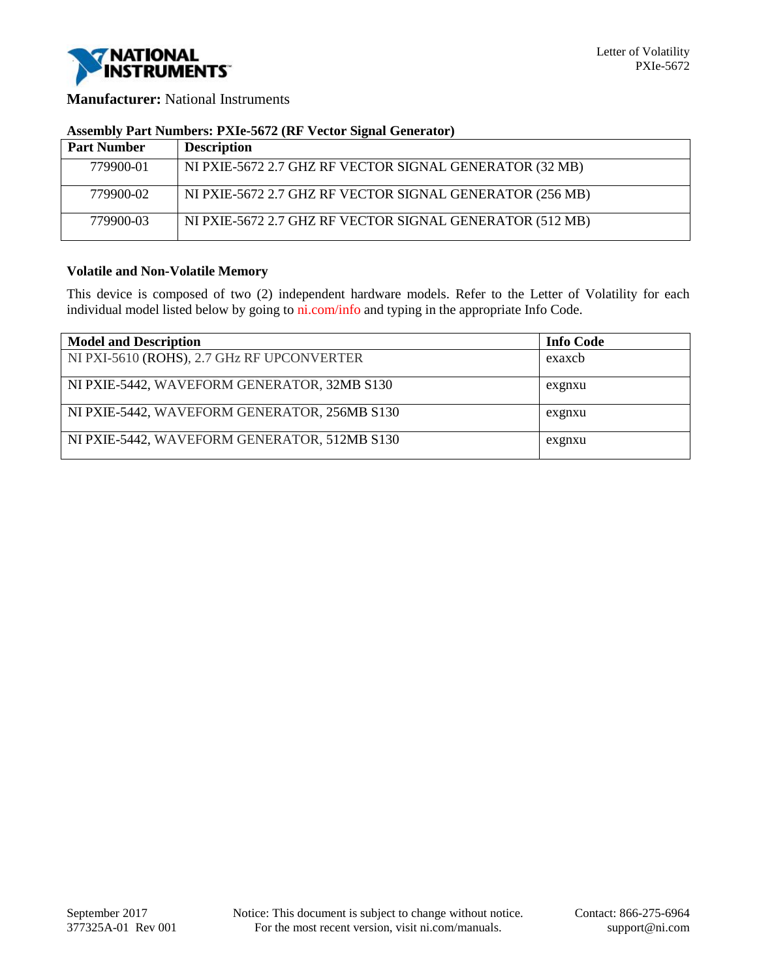

**Manufacturer:** National Instruments

## **Assembly Part Numbers: PXIe-5672 (RF Vector Signal Generator)**

| <b>Part Number</b> | <b>Description</b>                                       |
|--------------------|----------------------------------------------------------|
| 779900-01          | NI PXIE-5672 2.7 GHZ RF VECTOR SIGNAL GENERATOR (32 MB)  |
| 779900-02          | NI PXIE-5672 2.7 GHZ RF VECTOR SIGNAL GENERATOR (256 MB) |
| 779900-03          | NI PXIE-5672 2.7 GHZ RF VECTOR SIGNAL GENERATOR (512 MB) |

## **Volatile and Non-Volatile Memory**

This device is composed of two (2) independent hardware models. Refer to the Letter of Volatility for each individual model listed below by going to ni.com/info and typing in the appropriate Info Code.

| <b>Model and Description</b>                 | <b>Info Code</b> |
|----------------------------------------------|------------------|
| NI PXI-5610 (ROHS), 2.7 GHz RF UPCONVERTER   | exaxcb           |
| NI PXIE-5442, WAVEFORM GENERATOR, 32MB S130  | exgnxu           |
| NI PXIE-5442, WAVEFORM GENERATOR, 256MB S130 | exgnxu           |
| NI PXIE-5442, WAVEFORM GENERATOR, 512MB S130 | exgnxu           |